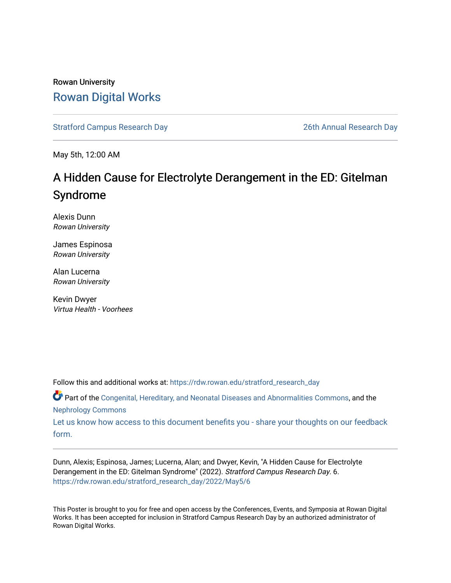### Rowan University [Rowan Digital Works](https://rdw.rowan.edu/)

[Stratford Campus Research Day](https://rdw.rowan.edu/stratford_research_day) [26th Annual Research Day](https://rdw.rowan.edu/stratford_research_day/2022) 

May 5th, 12:00 AM

### A Hidden Cause for Electrolyte Derangement in the ED: Gitelman Syndrome

Alexis Dunn Rowan University

James Espinosa Rowan University

Alan Lucerna Rowan University

Kevin Dwyer Virtua Health - Voorhees

Follow this and additional works at: [https://rdw.rowan.edu/stratford\\_research\\_day](https://rdw.rowan.edu/stratford_research_day?utm_source=rdw.rowan.edu%2Fstratford_research_day%2F2022%2FMay5%2F6&utm_medium=PDF&utm_campaign=PDFCoverPages)

Part of the [Congenital, Hereditary, and Neonatal Diseases and Abnormalities Commons,](https://network.bepress.com/hgg/discipline/971?utm_source=rdw.rowan.edu%2Fstratford_research_day%2F2022%2FMay5%2F6&utm_medium=PDF&utm_campaign=PDFCoverPages) and the [Nephrology Commons](https://network.bepress.com/hgg/discipline/691?utm_source=rdw.rowan.edu%2Fstratford_research_day%2F2022%2FMay5%2F6&utm_medium=PDF&utm_campaign=PDFCoverPages) 

[Let us know how access to this document benefits you - share your thoughts on our feedback](https://www.lib.rowan.edu/rdw-feedback?ref=https://rdw.rowan.edu/stratford_research_day/2022/May5/6) [form.](https://www.lib.rowan.edu/rdw-feedback?ref=https://rdw.rowan.edu/stratford_research_day/2022/May5/6)

Dunn, Alexis; Espinosa, James; Lucerna, Alan; and Dwyer, Kevin, "A Hidden Cause for Electrolyte Derangement in the ED: Gitelman Syndrome" (2022). Stratford Campus Research Day. 6. [https://rdw.rowan.edu/stratford\\_research\\_day/2022/May5/6](https://rdw.rowan.edu/stratford_research_day/2022/May5/6?utm_source=rdw.rowan.edu%2Fstratford_research_day%2F2022%2FMay5%2F6&utm_medium=PDF&utm_campaign=PDFCoverPages)

This Poster is brought to you for free and open access by the Conferences, Events, and Symposia at Rowan Digital Works. It has been accepted for inclusion in Stratford Campus Research Day by an authorized administrator of Rowan Digital Works.